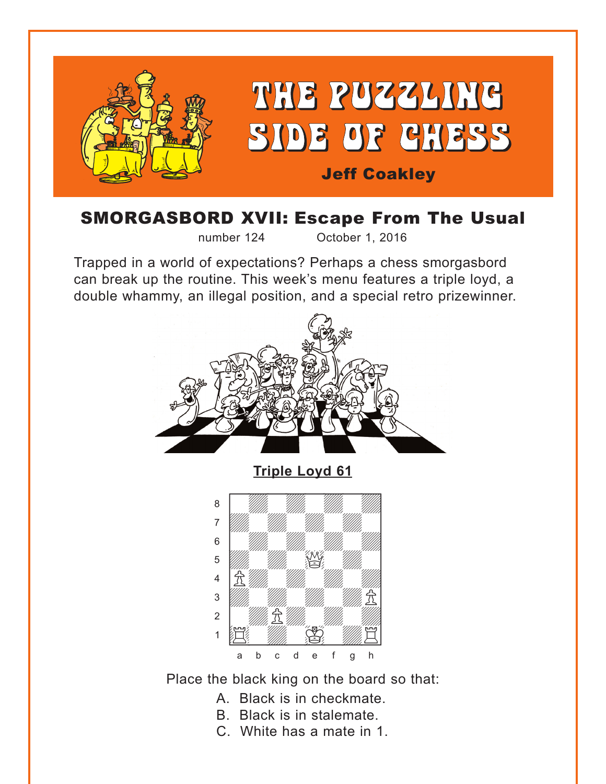<span id="page-0-0"></span>

## **SMORGASBORD XVII: Escape From The Usual**

number 124

October 1, 2016

Trapped in a world of expectations? Perhaps a chess smorgasbord can break up the routine. This week's menu features a triple loyd, a double whammy, an illegal position, and a special retro prizewinner.



Place the black king on the board so that:

- A. Black is in checkmate.
- B. Black is in stalemate.
- C. White has a mate in 1.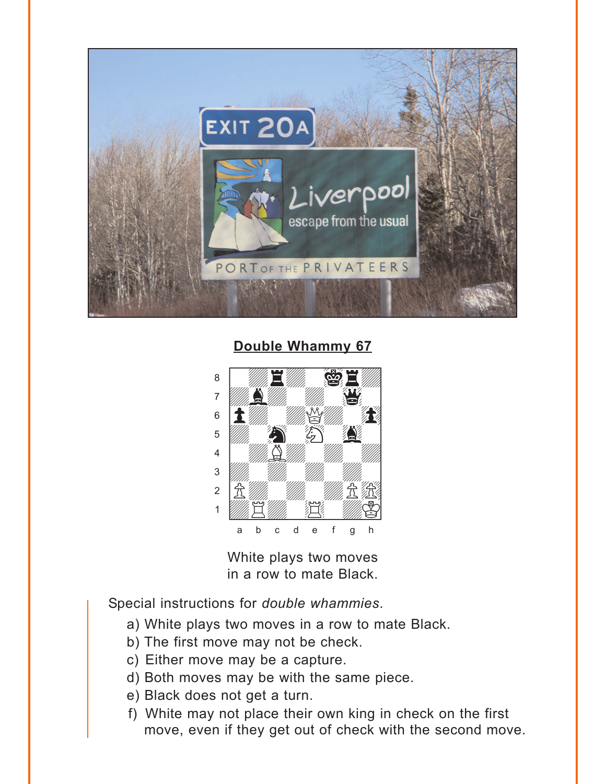<span id="page-1-0"></span>

Double Whammy 67



White plays two moves in a row to mate Black.

Special instructions for double whammies.

- a) White plays two moves in a row to mate Black.
- b) The first move may not be check.
- c) Either move may be a capture.
- d) Both moves may be with the same piece.
- e) Black does not get a turn.
- f) White may not place their own king in check on the first move, even if they get out of check with the second move.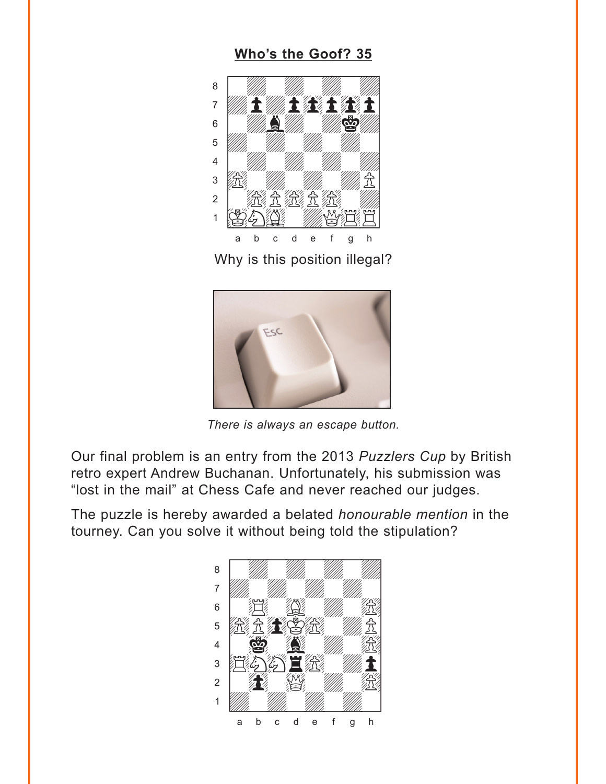### **[Who's the Goof? 35](#page-5-0)**

<span id="page-2-0"></span>

Why is this position illegal?



*There is always an escape button.*

Our final problem is an entry from the 2013 *Puzzlers Cup* by British retro expert Andrew Buchanan. Unfortunately, his submission was "lost in the mail" at Chess Cafe and never reached our judges.

The puzzle is hereby awarded a belated *honourable mention* in the tourney. Can you solve it without being told the stipulation?

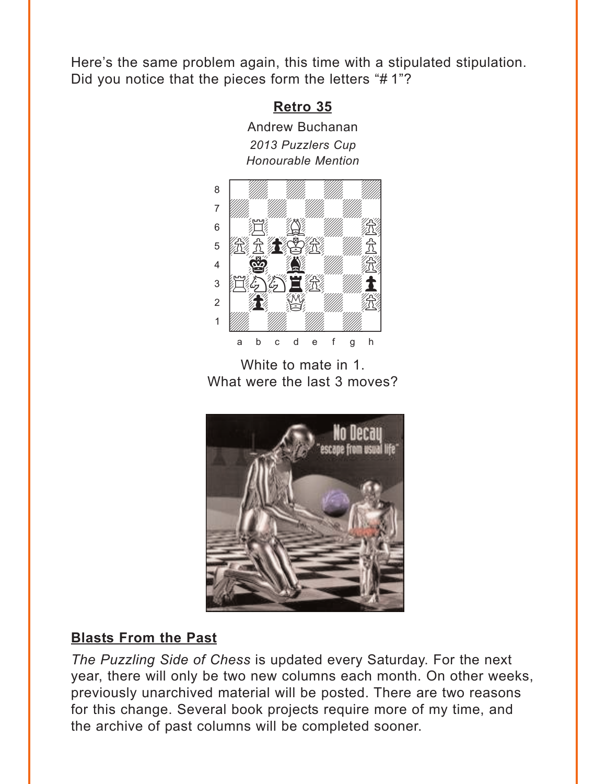<span id="page-3-0"></span>Here's the same problem again, this time with a stipulated stipulation. Did you notice that the pieces form the letters "# 1"?

### **[Retro 35](#page-5-0)**

Andrew Buchanan *2013 Puzzlers Cup*



White to mate in 1. What were the last 3 moves?



### **Blasts From the Past**

*The Puzzling Side of Chess* is updated every Saturday. For the next year, there will only be two new columns each month. On other weeks, previously unarchived material will be posted. There are two reasons for this change. Several book projects require more of my time, and the archive of past columns will be completed sooner.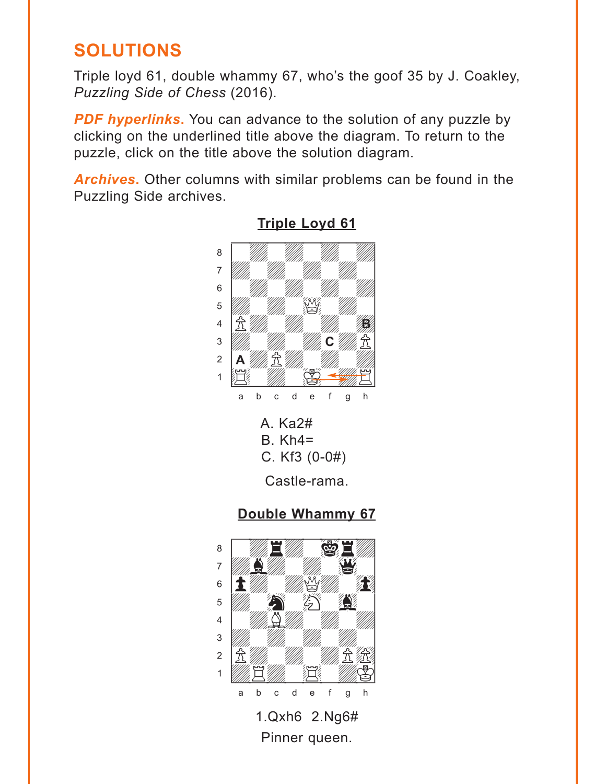# <span id="page-4-0"></span>**SOLUTIONS**

Triple loyd 61, double whammy 67, who's the goof 35 by J. Coakley, Puzzling Side of Chess (2016).

**PDF hyperlinks.** You can advance to the solution of any puzzle by clicking on the underlined title above the diagram. To return to the puzzle, click on the title above the solution diagram.

**Archives.** Other columns with similar problems can be found in the Puzzling Side archives.







1.Qxh6 2.Ng6# Pinner queen.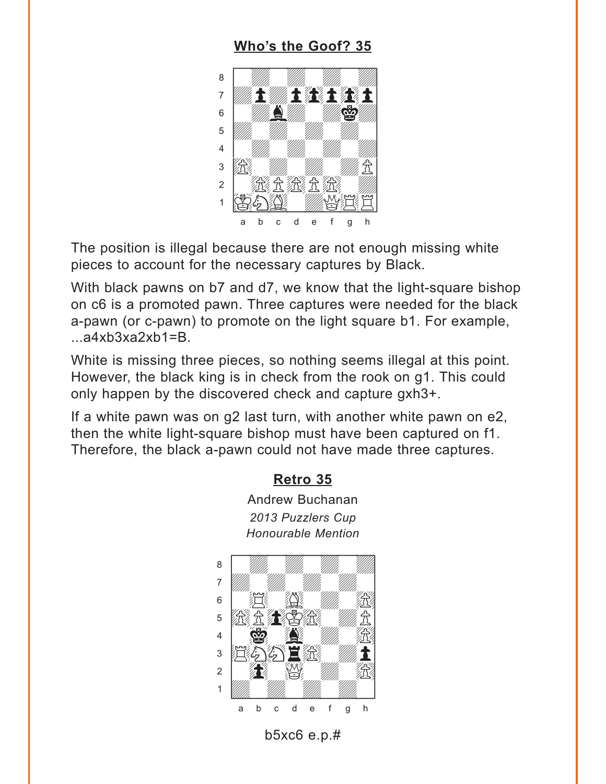### Who's the Goof? 35

<span id="page-5-0"></span>

The position is illegal because there are not enough missing white pieces to account for the necessary captures by Black.

With black pawns on b7 and d7, we know that the light-square bishop on c6 is a promoted pawn. Three captures were needed for the black a-pawn (or c-pawn) to promote on the light square b1. For example,  $...a4xb3xa2xb1=B.$ 

White is missing three pieces, so nothing seems illegal at this point. However, the black king is in check from the rook on q1. This could only happen by the discovered check and capture gxh3+.

If a white pawn was on g2 last turn, with another white pawn on e2, then the white light-square bishop must have been captured on f1. Therefore, the black a-pawn could not have made three captures.

#### Retro 35

**Andrew Buchanan** 2013 Puzzlers Cup **Honourable Mention** 



b5 $xc6$  e.p.#